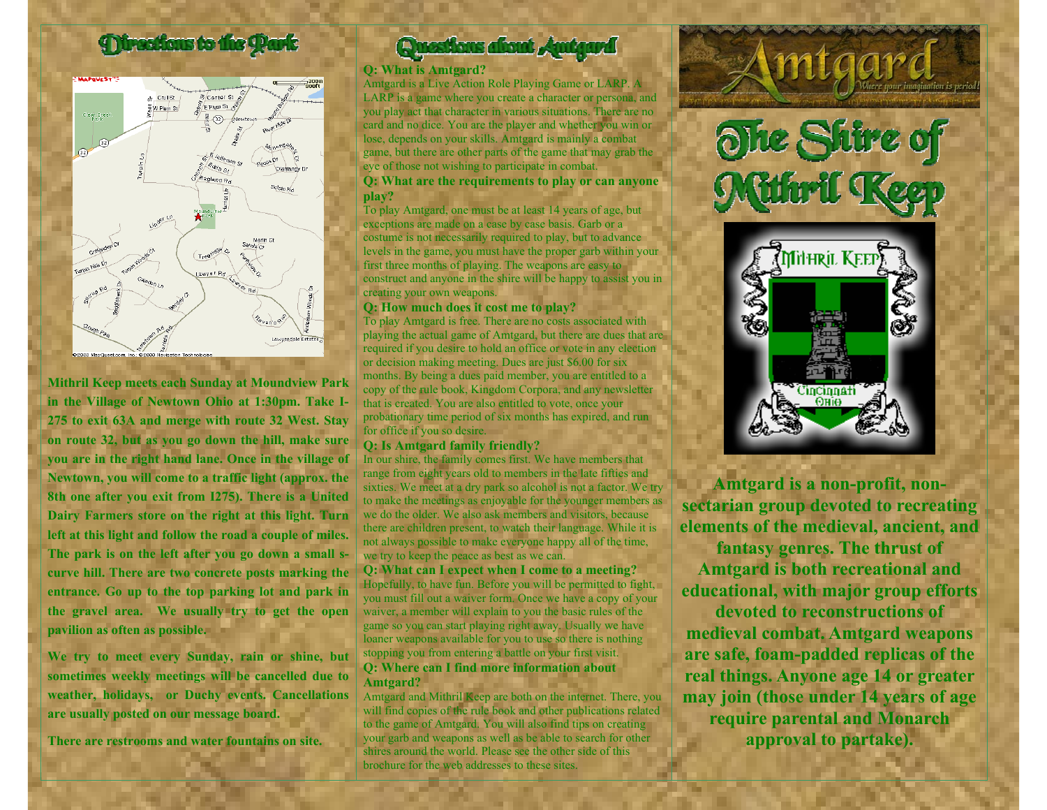# **Directions to the Park**



**Mithril Keep meets each Sunday at Moundview Park in the Village of Newto wn Ohio at 1:30pm. Take I-275 to exit 63A and merge with route 32 West. Stay on route 32, but as you go down the hill, make sure you are in the right hand lane. Once in the village of Newto wn, you will come to a traffic light (approx. the 8th one after you exit from I275). There is a United Dairy Farmers store on the right at this light. Turn**  left at this light and follow the road a couple of miles. **The park is on the left after you go down a small scurve hill. There are two concrete posts marking the entrance. Go up to the top par king lot and park in the gravel area. We usually try to get the open pavilion as often as possible.** 

**We try to meet every Sunday, rain or shine, but sometimes weekly meetings will be cancelled due to weather, holidays, or Duchy e vents. Cancellations are usually posted on o ur message board.**

**There are restrooms and water fountains on site.**

# **Questions alisat Au**

### **Q: What is A mtgard?**

Amtgard is a Live Action Role Playing Game or LARP. A LARP is a game where you create a character or persona, and you play act that character in various situations. There are no card and no dice. You are the player and whether you win or lose, depends on your skills. Amtgard is mainly a combat game, but there are other parts of the game that may grab the eye of those not wishing to participate in combat.

## **Q: What are the requirements to play or can anyone play?**

To play Amtgard, one must be at least 14 years of age, but exceptions are made on a case by case basis. Garb or a costume is not necessarily required to play, but to advance levels in the game, you must have the proper garb within your first three months of playing. The weapons are easy to construct and anyone in the shire will be happy to assist you in creating your own weapons.

#### **Q: How much does it cost me to play?**

To play Amtgard is free. There are no costs associated with playing the actual game of Amtgard, but there are dues that are required if you desire to hold an office or vote in any election or decision making meeting. Dues are just \$6.00 for six months. By being a dues paid member, you are entitled to a copy of the rule book, Kingdom Corpora, and any newsletter that is created. You are also entitled to vote, once your probationary time period of six months has expired, and run for office if you so desire.

### **Q: Is Amtgard family friendly?**

In our shire, the family comes first. We have members that range from eight years old to members in the late fifties and sixties. We meet at a dry park so alcohol is not a factor. We try to make the meetings as enjoyable for the younger members as we do the older. We also ask members and visitors, because there are children present, to watch their language. While it is not always possible to make everyone happy all of the time, we try to keep the peace as best as we can.

**Q: W hat can I e x pect when I come to a meeting?**  Hopefully, to have fun. Before you will be permitted to fight, you must fill out a waiver form. Once we have a copy of your waiver, a member will explain to you the basic rules of the game so you can start playing right away. Usually we have loaner weapons available for you to use so there is nothing stopping you from entering a battle on your first visit. **Q: Where can I find more information about Amtgard?**

Amtgard and Mithril Keep are both on the internet. There, you will find copies of the rule book and other publications related to the game of A mtgard. You will also find tips on creating your garb and weapons as well as be able to search for other shires around the world. Please see the other side of this brochure for the web addresses to these sites.



mtaar



**Amtgard is a non-pr ofit, nonsectarian group devoted to r ecreating elements of the medieval, ancient, and** 

**fantasy genres. The thrust of Amtgard is both recreational and educational, with major group efforts** 

**devoted to reconstructions of medieval combat. Amtgard weapons are safe, foam-padded r eplicas of the r eal things. Anyone age 14 or greater may join (those under 14 years of age r equir e par ental and Monar ch approval to partake).**